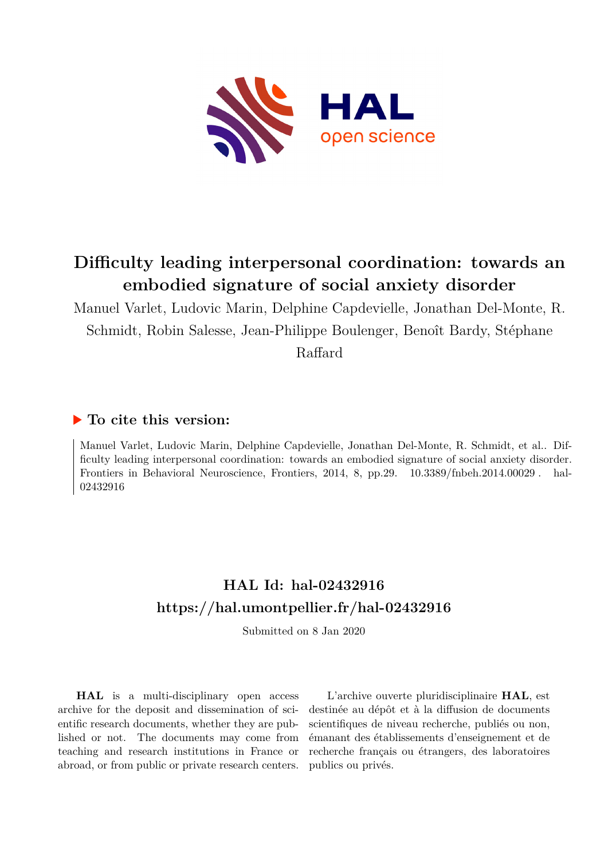

# **Difficulty leading interpersonal coordination: towards an embodied signature of social anxiety disorder**

Manuel Varlet, Ludovic Marin, Delphine Capdevielle, Jonathan Del-Monte, R. Schmidt, Robin Salesse, Jean-Philippe Boulenger, Benoît Bardy, Stéphane Raffard

# **To cite this version:**

Manuel Varlet, Ludovic Marin, Delphine Capdevielle, Jonathan Del-Monte, R. Schmidt, et al.. Difficulty leading interpersonal coordination: towards an embodied signature of social anxiety disorder. Frontiers in Behavioral Neuroscience, Frontiers, 2014, 8, pp.29. 10.3389/fnbeh.2014.00029 . hal-02432916ff

# **HAL Id: hal-02432916 <https://hal.umontpellier.fr/hal-02432916>**

Submitted on 8 Jan 2020

**HAL** is a multi-disciplinary open access archive for the deposit and dissemination of scientific research documents, whether they are published or not. The documents may come from teaching and research institutions in France or abroad, or from public or private research centers.

L'archive ouverte pluridisciplinaire **HAL**, est destinée au dépôt et à la diffusion de documents scientifiques de niveau recherche, publiés ou non, émanant des établissements d'enseignement et de recherche français ou étrangers, des laboratoires publics ou privés.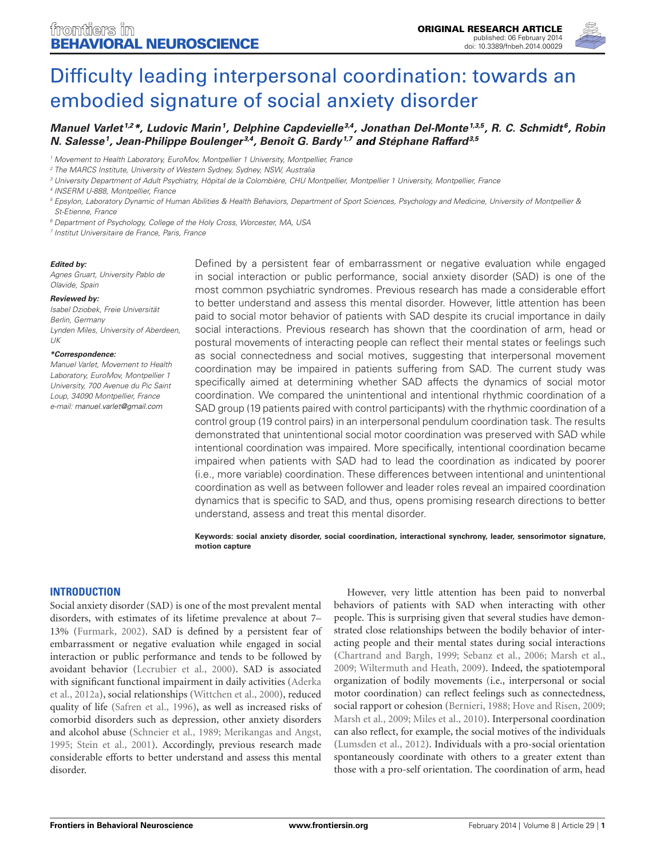

# [Difficulty leading interpersonal coordination: towards an](http://www.frontiersin.org/Journal/10.3389/fnbeh.2014.00029/abstract) [embodied signature of social anxiety disorder](http://www.frontiersin.org/Journal/10.3389/fnbeh.2014.00029/abstract)

# **[Manuel Varlet](http://www.frontiersin.org/people/u/49687) 1,2\*, Ludovic Marin<sup>1</sup> , Delphine Capdevielle3,4 , [Jonathan Del-Monte](http://www.frontiersin.org/people/u/102614)1,3,5 , [R. C. Schmidt](http://www.frontiersin.org/people/u/22178) <sup>6</sup> , [Robin](http://www.frontiersin.org/people/u/113471) [N. Salesse](http://www.frontiersin.org/people/u/113471)<sup>1</sup> , Jean-Philippe Boulenger 3,4 , [Benoît G. Bardy](http://www.frontiersin.org/people/u/21335)1,7 and [Stéphane Raffard](http://www.frontiersin.org/people/u/102747)3,5**

<sup>1</sup> Movement to Health Laboratory, EuroMov, Montpellier 1 University, Montpellier, France

<sup>3</sup> University Department of Adult Psychiatry, Hôpital de la Colombière, CHU Montpellier, Montpellier 1 University, Montpellier, France

4 INSERM U-888, Montpellier, France

<sup>5</sup> Epsylon, Laboratory Dynamic of Human Abilities & Health Behaviors, Department of Sport Sciences, Psychology and Medicine, University of Montpellier & St-Etienne, France

<sup>6</sup> Department of Psychology, College of the Holy Cross, Worcester, MA, USA

7 Institut Universitaire de France, Paris, France

#### **Edited by:**

Agnes Gruart, University Pablo de Olavide, Spain

#### **Reviewed by:**

Isabel Dziobek, Freie Universität Berlin, Germany Lynden Miles, University of Aberdeen, UK

#### **\*Correspondence:**

Manuel Varlet, Movement to Health Laboratory, EuroMov, Montpellier 1 University, 700 Avenue du Pic Saint Loup, 34090 Montpellier, France e-mail: [manuel.varlet@gmail.com](mailto:manuel.varlet@gmail.com)

Defined by a persistent fear of embarrassment or negative evaluation while engaged in social interaction or public performance, social anxiety disorder (SAD) is one of the most common psychiatric syndromes. Previous research has made a considerable effort to better understand and assess this mental disorder. However, little attention has been paid to social motor behavior of patients with SAD despite its crucial importance in daily social interactions. Previous research has shown that the coordination of arm, head or postural movements of interacting people can reflect their mental states or feelings such as social connectedness and social motives, suggesting that interpersonal movement coordination may be impaired in patients suffering from SAD. The current study was specifically aimed at determining whether SAD affects the dynamics of social motor coordination. We compared the unintentional and intentional rhythmic coordination of a SAD group (19 patients paired with control participants) with the rhythmic coordination of a control group (19 control pairs) in an interpersonal pendulum coordination task. The results demonstrated that unintentional social motor coordination was preserved with SAD while intentional coordination was impaired. More specifically, intentional coordination became impaired when patients with SAD had to lead the coordination as indicated by poorer (i.e., more variable) coordination. These differences between intentional and unintentional coordination as well as between follower and leader roles reveal an impaired coordination dynamics that is specific to SAD, and thus, opens promising research directions to better understand, assess and treat this mental disorder.

**Keywords: social anxiety disorder, social coordination, interactional synchrony, leader, sensorimotor signature, motion capture**

#### **INTRODUCTION**

Social anxiety disorder (SAD) is one of the most prevalent mental disorders, with estimates of its lifetime prevalence at about 7– 13% (Furmark, 2002). SAD is defined by a persistent fear of embarrassment or negative evaluation while engaged in social interaction or public performance and tends to be followed by avoidant behavior (Lecrubier et al., 2000). SAD is associated with significant functional impairment in daily activities (Aderka et al., 2012a), social relationships (Wittchen et al., 2000), reduced quality of life (Safren et al., 1996), as well as increased risks of comorbid disorders such as depression, other anxiety disorders and alcohol abuse (Schneier et al., 1989; Merikangas and Angst, 1995; Stein et al., 2001). Accordingly, previous research made considerable efforts to better understand and assess this mental disorder.

However, very little attention has been paid to nonverbal behaviors of patients with SAD when interacting with other people. This is surprising given that several studies have demonstrated close relationships between the bodily behavior of interacting people and their mental states during social interactions (Chartrand and Bargh, 1999; Sebanz et al., 2006; Marsh et al., 2009; Wiltermuth and Heath, 2009). Indeed, the spatiotemporal organization of bodily movements (i.e., interpersonal or social motor coordination) can reflect feelings such as connectedness, social rapport or cohesion (Bernieri, 1988; Hove and Risen, 2009; Marsh et al., 2009; Miles et al., 2010). Interpersonal coordination can also reflect, for example, the social motives of the individuals (Lumsden et al., 2012). Individuals with a pro-social orientation spontaneously coordinate with others to a greater extent than those with a pro-self orientation. The coordination of arm, head

<sup>&</sup>lt;sup>2</sup> The MARCS Institute, University of Western Sydney, Sydney, NSW, Australia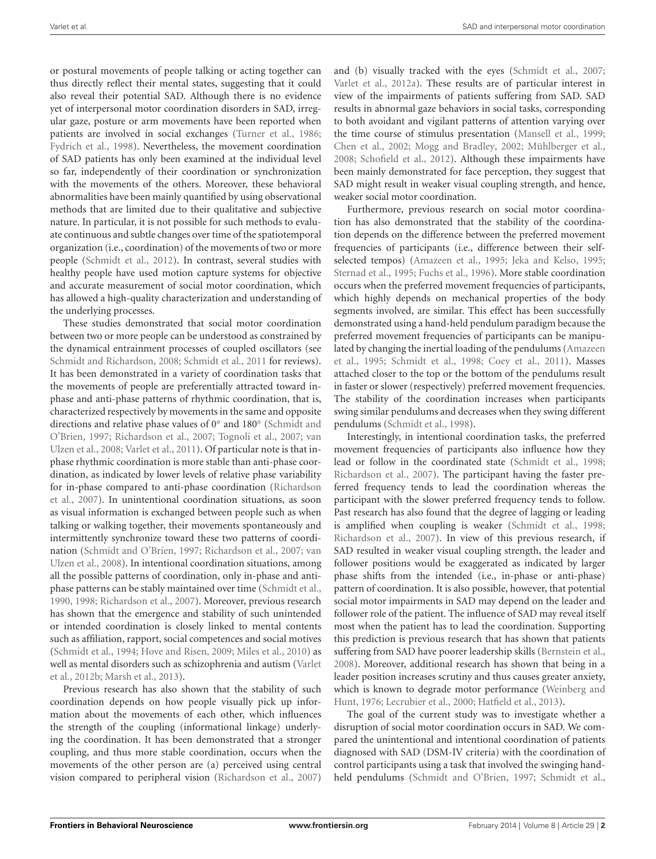or postural movements of people talking or acting together can thus directly reflect their mental states, suggesting that it could also reveal their potential SAD. Although there is no evidence yet of interpersonal motor coordination disorders in SAD, irregular gaze, posture or arm movements have been reported when patients are involved in social exchanges (Turner et al., 1986; Fydrich et al., 1998). Nevertheless, the movement coordination of SAD patients has only been examined at the individual level so far, independently of their coordination or synchronization with the movements of the others. Moreover, these behavioral abnormalities have been mainly quantified by using observational methods that are limited due to their qualitative and subjective nature. In particular, it is not possible for such methods to evaluate continuous and subtle changes over time of the spatiotemporal organization (i.e., coordination) of the movements of two or more people (Schmidt et al., 2012). In contrast, several studies with healthy people have used motion capture systems for objective and accurate measurement of social motor coordination, which has allowed a high-quality characterization and understanding of the underlying processes.

These studies demonstrated that social motor coordination between two or more people can be understood as constrained by the dynamical entrainment processes of coupled oscillators (see Schmidt and Richardson, 2008; Schmidt et al., 2011 for reviews). It has been demonstrated in a variety of coordination tasks that the movements of people are preferentially attracted toward inphase and anti-phase patterns of rhythmic coordination, that is, characterized respectively by movements in the same and opposite directions and relative phase values of 0◦ and 180◦ (Schmidt and O'Brien, 1997; Richardson et al., 2007; Tognoli et al., 2007; van Ulzen et al., 2008; Varlet et al., 2011). Of particular note is that inphase rhythmic coordination is more stable than anti-phase coordination, as indicated by lower levels of relative phase variability for in-phase compared to anti-phase coordination (Richardson et al., 2007). In unintentional coordination situations, as soon as visual information is exchanged between people such as when talking or walking together, their movements spontaneously and intermittently synchronize toward these two patterns of coordination (Schmidt and O'Brien, 1997; Richardson et al., 2007; van Ulzen et al., 2008). In intentional coordination situations, among all the possible patterns of coordination, only in-phase and antiphase patterns can be stably maintained over time (Schmidt et al., 1990, 1998; Richardson et al., 2007). Moreover, previous research has shown that the emergence and stability of such unintended or intended coordination is closely linked to mental contents such as affiliation, rapport, social competences and social motives (Schmidt et al., 1994; Hove and Risen, 2009; Miles et al., 2010) as well as mental disorders such as schizophrenia and autism (Varlet et al., 2012b; Marsh et al., 2013).

Previous research has also shown that the stability of such coordination depends on how people visually pick up information about the movements of each other, which influences the strength of the coupling (informational linkage) underlying the coordination. It has been demonstrated that a stronger coupling, and thus more stable coordination, occurs when the movements of the other person are (a) perceived using central vision compared to peripheral vision (Richardson et al., 2007)

and (b) visually tracked with the eyes (Schmidt et al., 2007; Varlet et al., 2012a). These results are of particular interest in view of the impairments of patients suffering from SAD. SAD results in abnormal gaze behaviors in social tasks, corresponding to both avoidant and vigilant patterns of attention varying over the time course of stimulus presentation (Mansell et al., 1999; Chen et al., 2002; Mogg and Bradley, 2002; Mühlberger et al., 2008; Schofield et al., 2012). Although these impairments have been mainly demonstrated for face perception, they suggest that SAD might result in weaker visual coupling strength, and hence, weaker social motor coordination.

Furthermore, previous research on social motor coordination has also demonstrated that the stability of the coordination depends on the difference between the preferred movement frequencies of participants (i.e., difference between their selfselected tempos) (Amazeen et al., 1995; Jeka and Kelso, 1995; Sternad et al., 1995; Fuchs et al., 1996). More stable coordination occurs when the preferred movement frequencies of participants, which highly depends on mechanical properties of the body segments involved, are similar. This effect has been successfully demonstrated using a hand-held pendulum paradigm because the preferred movement frequencies of participants can be manipulated by changing the inertial loading of the pendulums (Amazeen et al., 1995; Schmidt et al., 1998; Coey et al., 2011). Masses attached closer to the top or the bottom of the pendulums result in faster or slower (respectively) preferred movement frequencies. The stability of the coordination increases when participants swing similar pendulums and decreases when they swing different pendulums (Schmidt et al., 1998).

Interestingly, in intentional coordination tasks, the preferred movement frequencies of participants also influence how they lead or follow in the coordinated state (Schmidt et al., 1998; Richardson et al., 2007). The participant having the faster preferred frequency tends to lead the coordination whereas the participant with the slower preferred frequency tends to follow. Past research has also found that the degree of lagging or leading is amplified when coupling is weaker (Schmidt et al., 1998; Richardson et al., 2007). In view of this previous research, if SAD resulted in weaker visual coupling strength, the leader and follower positions would be exaggerated as indicated by larger phase shifts from the intended (i.e., in-phase or anti-phase) pattern of coordination. It is also possible, however, that potential social motor impairments in SAD may depend on the leader and follower role of the patient. The influence of SAD may reveal itself most when the patient has to lead the coordination. Supporting this prediction is previous research that has shown that patients suffering from SAD have poorer leadership skills (Bernstein et al., 2008). Moreover, additional research has shown that being in a leader position increases scrutiny and thus causes greater anxiety, which is known to degrade motor performance (Weinberg and Hunt, 1976; Lecrubier et al., 2000; Hatfield et al., 2013).

The goal of the current study was to investigate whether a disruption of social motor coordination occurs in SAD. We compared the unintentional and intentional coordination of patients diagnosed with SAD (DSM-IV criteria) with the coordination of control participants using a task that involved the swinging handheld pendulums (Schmidt and O'Brien, 1997; Schmidt et al.,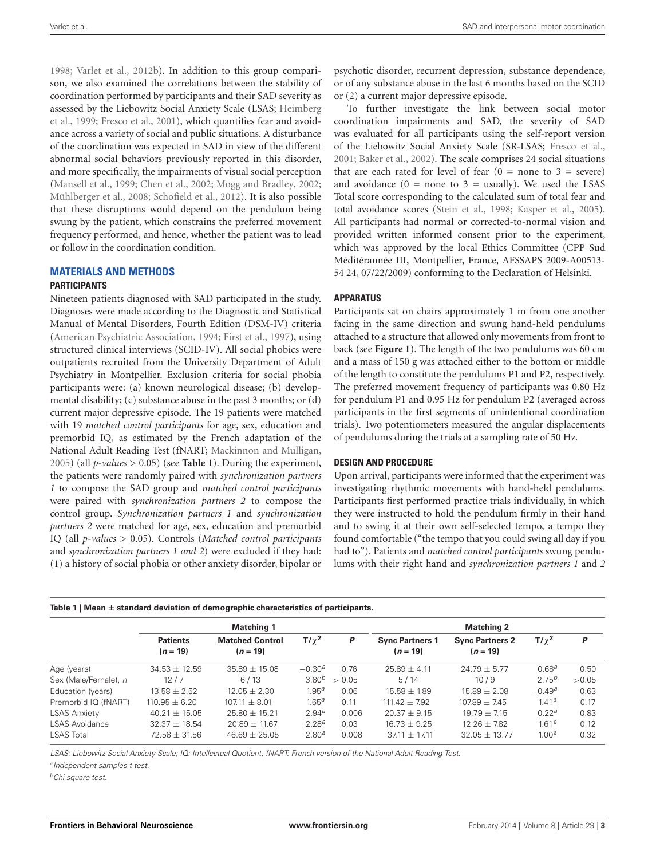1998; Varlet et al., 2012b). In addition to this group comparison, we also examined the correlations between the stability of coordination performed by participants and their SAD severity as assessed by the Liebowitz Social Anxiety Scale (LSAS; Heimberg et al., 1999; Fresco et al., 2001), which quantifies fear and avoidance across a variety of social and public situations. A disturbance of the coordination was expected in SAD in view of the different abnormal social behaviors previously reported in this disorder, and more specifically, the impairments of visual social perception (Mansell et al., 1999; Chen et al., 2002; Mogg and Bradley, 2002; Mühlberger et al., 2008; Schofield et al., 2012). It is also possible that these disruptions would depend on the pendulum being swung by the patient, which constrains the preferred movement frequency performed, and hence, whether the patient was to lead or follow in the coordination condition.

# **MATERIALS AND METHODS**

# **PARTICIPANTS**

Nineteen patients diagnosed with SAD participated in the study. Diagnoses were made according to the Diagnostic and Statistical Manual of Mental Disorders, Fourth Edition (DSM-IV) criteria (American Psychiatric Association, 1994; First et al., 1997), using structured clinical interviews (SCID-IV). All social phobics were outpatients recruited from the University Department of Adult Psychiatry in Montpellier. Exclusion criteria for social phobia participants were: (a) known neurological disease; (b) developmental disability; (c) substance abuse in the past 3 months; or (d) current major depressive episode. The 19 patients were matched with 19 *matched control participants* for age, sex, education and premorbid IQ, as estimated by the French adaptation of the National Adult Reading Test (fNART; Mackinnon and Mulligan, 2005) (all *p*-*values* > 0.05) (see **Table 1**). During the experiment, the patients were randomly paired with *synchronization partners 1* to compose the SAD group and *matched control participants* were paired with *synchronization partners 2* to compose the control group. *Synchronization partners 1* and *synchronization partners 2* were matched for age, sex, education and premorbid IQ (all *p*-*values* > 0.05). Controls (*Matched control participants* and *synchronization partners 1 and 2*) were excluded if they had: (1) a history of social phobia or other anxiety disorder, bipolar or

**Table 1 | Mean** ± **standard deviation of demographic characteristics of participants.**

psychotic disorder, recurrent depression, substance dependence, or of any substance abuse in the last 6 months based on the SCID or (2) a current major depressive episode.

To further investigate the link between social motor coordination impairments and SAD, the severity of SAD was evaluated for all participants using the self-report version of the Liebowitz Social Anxiety Scale (SR-LSAS; Fresco et al., 2001; Baker et al., 2002). The scale comprises 24 social situations that are each rated for level of fear  $(0 = none to 3 = severe)$ and avoidance  $(0 = none to 3 = usually)$ . We used the LSAS Total score corresponding to the calculated sum of total fear and total avoidance scores (Stein et al., 1998; Kasper et al., 2005). All participants had normal or corrected-to-normal vision and provided written informed consent prior to the experiment, which was approved by the local Ethics Committee (CPP Sud Méditérannée III, Montpellier, France, AFSSAPS 2009-A00513- 54 24, 07/22/2009) conforming to the Declaration of Helsinki.

# **APPARATUS**

Participants sat on chairs approximately 1 m from one another facing in the same direction and swung hand-held pendulums attached to a structure that allowed only movements from front to back (see **Figure 1**). The length of the two pendulums was 60 cm and a mass of 150 g was attached either to the bottom or middle of the length to constitute the pendulums P1 and P2, respectively. The preferred movement frequency of participants was 0.80 Hz for pendulum P1 and 0.95 Hz for pendulum P2 (averaged across participants in the first segments of unintentional coordination trials). Two potentiometers measured the angular displacements of pendulums during the trials at a sampling rate of 50 Hz.

# **DESIGN AND PROCEDURE**

Upon arrival, participants were informed that the experiment was investigating rhythmic movements with hand-held pendulums. Participants first performed practice trials individually, in which they were instructed to hold the pendulum firmly in their hand and to swing it at their own self-selected tempo, a tempo they found comfortable ("the tempo that you could swing all day if you had to"). Patients and *matched control participants* swung pendulums with their right hand and *synchronization partners 1* and *2*

|                       | <b>Matching 1</b>             |                                      |                   |        | <b>Matching 2</b>                    |                                      |                   |       |
|-----------------------|-------------------------------|--------------------------------------|-------------------|--------|--------------------------------------|--------------------------------------|-------------------|-------|
|                       | <b>Patients</b><br>$(n = 19)$ | <b>Matched Control</b><br>$(n = 19)$ | $T/\chi^2$        | P      | <b>Sync Partners 1</b><br>$(n = 19)$ | <b>Sync Partners 2</b><br>$(n = 19)$ | $T/\chi^2$        | P     |
| Age (years)           | $34.53 \pm 12.59$             | $35.89 + 15.08$                      | $-0.30a$          | 0.76   | $25.89 + 4.11$                       | $24.79 + 5.77$                       | 0.68 <sup>a</sup> | 0.50  |
| Sex (Male/Female), n  | 12/7                          | 6/13                                 | $3.80^{b}$        | > 0.05 | 5/14                                 | 10/9                                 | $2.75^{b}$        | >0.05 |
| Education (years)     | $13.58 + 2.52$                | $12.05 + 2.30$                       | 1.95 <sup>a</sup> | 0.06   | $15.58 + 1.89$                       | $15.89 + 2.08$                       | $-0.49a$          | 0.63  |
| Premorbid IQ (fNART)  | $110.95 + 6.20$               | $107.11 + 8.01$                      | 1.65 <sup>a</sup> | 0.11   | $111.42 + 7.92$                      | $107.89 + 7.45$                      | 1.41a             | 0.17  |
| <b>LSAS Anxiety</b>   | $40.21 + 15.05$               | $25.80 + 15.21$                      | 2.94 <sup>a</sup> | 0.006  | $20.37 + 9.15$                       | $19.79 + 7.15$                       | 0.22 <sup>a</sup> | 0.83  |
| <b>LSAS Avoidance</b> | $32.37 + 18.54$               | $20.89 + 11.67$                      | $2.28^{a}$        | 0.03   | $16.73 + 9.25$                       | $12.26 + 7.82$                       | 1.61 <sup>a</sup> | 0.12  |
| <b>LSAS Total</b>     | $72.58 \pm 31.56$             | $46.69 + 25.05$                      | 2.80 <sup>a</sup> | 0.008  | $37.11 \pm 17.11$                    | $32.05 + 13.77$                      | 1.00 <sup>a</sup> | 0.32  |

LSAS: Liebowitz Social Anxiety Scale; IQ: Intellectual Quotient; fNART: French version of the National Adult Reading Test.

*a* Independent-samples t-test.

*<sup>b</sup>*Chi-square test.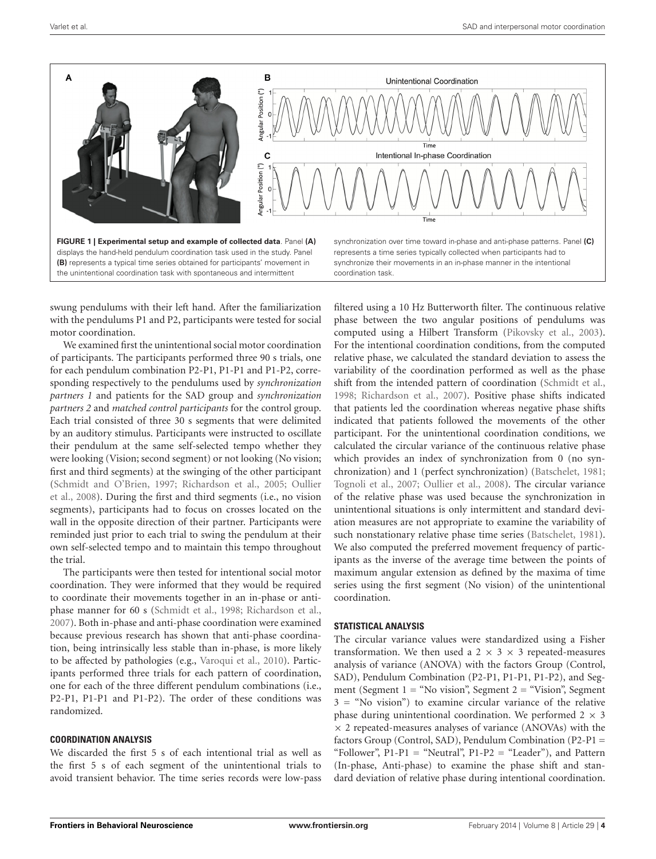

swung pendulums with their left hand. After the familiarization with the pendulums P1 and P2, participants were tested for social motor coordination.

We examined first the unintentional social motor coordination of participants. The participants performed three 90 s trials, one for each pendulum combination P2-P1, P1-P1 and P1-P2, corresponding respectively to the pendulums used by *synchronization partners 1* and patients for the SAD group and *synchronization partners 2* and *matched control participants* for the control group. Each trial consisted of three 30 s segments that were delimited by an auditory stimulus. Participants were instructed to oscillate their pendulum at the same self-selected tempo whether they were looking (Vision; second segment) or not looking (No vision; first and third segments) at the swinging of the other participant (Schmidt and O'Brien, 1997; Richardson et al., 2005; Oullier et al., 2008). During the first and third segments (i.e., no vision segments), participants had to focus on crosses located on the wall in the opposite direction of their partner. Participants were reminded just prior to each trial to swing the pendulum at their own self-selected tempo and to maintain this tempo throughout the trial.

The participants were then tested for intentional social motor coordination. They were informed that they would be required to coordinate their movements together in an in-phase or antiphase manner for 60 s (Schmidt et al., 1998; Richardson et al., 2007). Both in-phase and anti-phase coordination were examined because previous research has shown that anti-phase coordination, being intrinsically less stable than in-phase, is more likely to be affected by pathologies (e.g., Varoqui et al., 2010). Participants performed three trials for each pattern of coordination, one for each of the three different pendulum combinations (i.e., P2-P1, P1-P1 and P1-P2). The order of these conditions was randomized.

# **COORDINATION ANALYSIS**

We discarded the first 5 s of each intentional trial as well as the first 5 s of each segment of the unintentional trials to avoid transient behavior. The time series records were low-pass filtered using a 10 Hz Butterworth filter. The continuous relative phase between the two angular positions of pendulums was computed using a Hilbert Transform (Pikovsky et al., 2003). For the intentional coordination conditions, from the computed relative phase, we calculated the standard deviation to assess the variability of the coordination performed as well as the phase shift from the intended pattern of coordination (Schmidt et al., 1998; Richardson et al., 2007). Positive phase shifts indicated that patients led the coordination whereas negative phase shifts indicated that patients followed the movements of the other participant. For the unintentional coordination conditions, we calculated the circular variance of the continuous relative phase which provides an index of synchronization from 0 (no synchronization) and 1 (perfect synchronization) (Batschelet, 1981; Tognoli et al., 2007; Oullier et al., 2008). The circular variance of the relative phase was used because the synchronization in unintentional situations is only intermittent and standard deviation measures are not appropriate to examine the variability of such nonstationary relative phase time series (Batschelet, 1981). We also computed the preferred movement frequency of participants as the inverse of the average time between the points of maximum angular extension as defined by the maxima of time series using the first segment (No vision) of the unintentional coordination.

# **STATISTICAL ANALYSIS**

The circular variance values were standardized using a Fisher transformation. We then used a  $2 \times 3 \times 3$  repeated-measures analysis of variance (ANOVA) with the factors Group (Control, SAD), Pendulum Combination (P2-P1, P1-P1, P1-P2), and Segment (Segment  $1 =$  "No vision", Segment  $2 =$  "Vision", Segment  $3 =$  "No vision") to examine circular variance of the relative phase during unintentional coordination. We performed  $2 \times 3$  $\times$  2 repeated-measures analyses of variance (ANOVAs) with the factors Group (Control, SAD), Pendulum Combination (P2-P1 = "Follower",  $P1-P1 =$  "Neutral",  $P1-P2 =$  "Leader"), and Pattern (In-phase, Anti-phase) to examine the phase shift and standard deviation of relative phase during intentional coordination.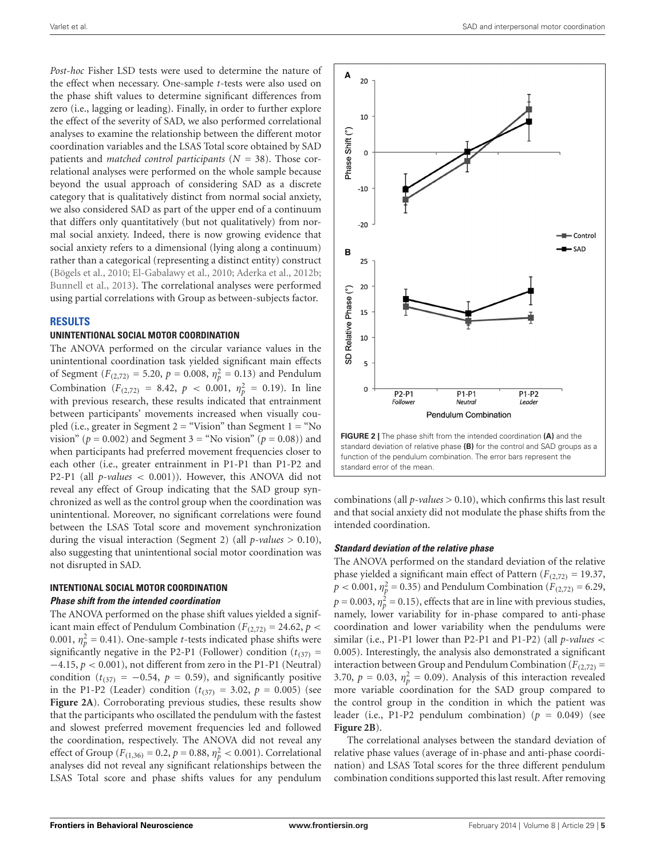*Post-hoc* Fisher LSD tests were used to determine the nature of the effect when necessary. One-sample *t*-tests were also used on the phase shift values to determine significant differences from zero (i.e., lagging or leading). Finally, in order to further explore the effect of the severity of SAD, we also performed correlational analyses to examine the relationship between the different motor coordination variables and the LSAS Total score obtained by SAD patients and *matched control participants* (*N* = 38). Those correlational analyses were performed on the whole sample because beyond the usual approach of considering SAD as a discrete category that is qualitatively distinct from normal social anxiety, we also considered SAD as part of the upper end of a continuum that differs only quantitatively (but not qualitatively) from normal social anxiety. Indeed, there is now growing evidence that social anxiety refers to a dimensional (lying along a continuum) rather than a categorical (representing a distinct entity) construct (Bögels et al., 2010; El-Gabalawy et al., 2010; Aderka et al., 2012b; Bunnell et al., 2013). The correlational analyses were performed using partial correlations with Group as between-subjects factor.

## **RESULTS**

# **UNINTENTIONAL SOCIAL MOTOR COORDINATION**

The ANOVA performed on the circular variance values in the unintentional coordination task yielded significant main effects of Segment ( $F_{(2,72)} = 5.20$ ,  $p = 0.008$ ,  $\eta_p^2 = 0.13$ ) and Pendulum Combination ( $F_{(2,72)} = 8.42$ ,  $p < 0.001$ ,  $\eta_p^2 = 0.19$ ). In line with previous research, these results indicated that entrainment between participants' movements increased when visually coupled (i.e., greater in Segment  $2 =$  "Vision" than Segment  $1 =$  "No vision" ( $p = 0.002$ ) and Segment 3 = "No vision" ( $p = 0.08$ )) and when participants had preferred movement frequencies closer to each other (i.e., greater entrainment in P1-P1 than P1-P2 and P2-P1 (all *p-values* < 0.001)). However, this ANOVA did not reveal any effect of Group indicating that the SAD group synchronized as well as the control group when the coordination was unintentional. Moreover, no significant correlations were found between the LSAS Total score and movement synchronization during the visual interaction (Segment 2) (all *p-values* > 0.10), also suggesting that unintentional social motor coordination was not disrupted in SAD.

### **INTENTIONAL SOCIAL MOTOR COORDINATION Phase shift from the intended coordination**

The ANOVA performed on the phase shift values yielded a significant main effect of Pendulum Combination ( $F_{(2,72)} = 24.62$ ,  $p <$ 0.001,  $\eta_p^2 = 0.41$ ). One-sample *t*-tests indicated phase shifts were significantly negative in the P2-P1 (Follower) condition  $(t_{(37)} =$ −4.15, *p* < 0.001), not different from zero in the P1-P1 (Neutral) condition ( $t_{(37)} = -0.54$ ,  $p = 0.59$ ), and significantly positive in the P1-P2 (Leader) condition  $(t_{(37)} = 3.02, p = 0.005)$  (see **Figure 2A**). Corroborating previous studies, these results show that the participants who oscillated the pendulum with the fastest and slowest preferred movement frequencies led and followed the coordination, respectively. The ANOVA did not reveal any effect of Group ( $F_{(1,36)} = 0.2$ ,  $p = 0.88$ ,  $\eta_p^2 < 0.001$ ). Correlational analyses did not reveal any significant relationships between the LSAS Total score and phase shifts values for any pendulum



**FIGURE 2 |** The phase shift from the intended coordination **(A)** and the standard deviation of relative phase **(B)** for the control and SAD groups as a function of the pendulum combination. The error bars represent the standard error of the mean.

combinations (all *p-values* > 0.10), which confirms this last result and that social anxiety did not modulate the phase shifts from the intended coordination.

#### **Standard deviation of the relative phase**

The ANOVA performed on the standard deviation of the relative phase yielded a significant main effect of Pattern ( $F_{(2,72)} = 19.37$ ,  $p < 0.001$ ,  $\eta_p^2 = 0.35$ ) and Pendulum Combination (*F*<sub>(2,72)</sub> = 6.29,  $p = 0.003$ ,  $\eta_p^2 = 0.15$ ), effects that are in line with previous studies, namely, lower variability for in-phase compared to anti-phase coordination and lower variability when the pendulums were similar (i.e., P1-P1 lower than P2-P1 and P1-P2) (all *p-values* < 0.005). Interestingly, the analysis also demonstrated a significant interaction between Group and Pendulum Combination ( $F_{(2,72)}$  = 3.70,  $p = 0.03$ ,  $\eta_p^2 = 0.09$ ). Analysis of this interaction revealed more variable coordination for the SAD group compared to the control group in the condition in which the patient was leader (i.e., P1-P2 pendulum combination) ( $p = 0.049$ ) (see **Figure 2B**).

The correlational analyses between the standard deviation of relative phase values (average of in-phase and anti-phase coordination) and LSAS Total scores for the three different pendulum combination conditions supported this last result. After removing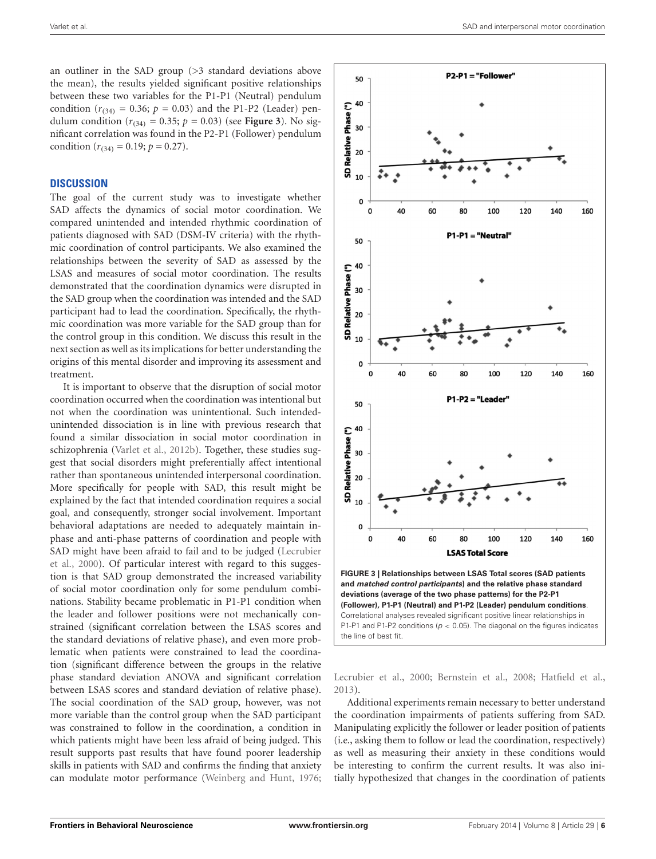an outliner in the SAD group (>3 standard deviations above the mean), the results yielded significant positive relationships between these two variables for the P1-P1 (Neutral) pendulum condition ( $r_{(34)} = 0.36$ ;  $p = 0.03$ ) and the P1-P2 (Leader) pendulum condition ( $r_{(34)} = 0.35$ ;  $p = 0.03$ ) (see **Figure 3**). No significant correlation was found in the P2-P1 (Follower) pendulum condition ( $r_{(34)} = 0.19$ ;  $p = 0.27$ ).

# **DISCUSSION**

The goal of the current study was to investigate whether SAD affects the dynamics of social motor coordination. We compared unintended and intended rhythmic coordination of patients diagnosed with SAD (DSM-IV criteria) with the rhythmic coordination of control participants. We also examined the relationships between the severity of SAD as assessed by the LSAS and measures of social motor coordination. The results demonstrated that the coordination dynamics were disrupted in the SAD group when the coordination was intended and the SAD participant had to lead the coordination. Specifically, the rhythmic coordination was more variable for the SAD group than for the control group in this condition. We discuss this result in the next section as well as its implications for better understanding the origins of this mental disorder and improving its assessment and treatment.

It is important to observe that the disruption of social motor coordination occurred when the coordination was intentional but not when the coordination was unintentional. Such intendedunintended dissociation is in line with previous research that found a similar dissociation in social motor coordination in schizophrenia (Varlet et al., 2012b). Together, these studies suggest that social disorders might preferentially affect intentional rather than spontaneous unintended interpersonal coordination. More specifically for people with SAD, this result might be explained by the fact that intended coordination requires a social goal, and consequently, stronger social involvement. Important behavioral adaptations are needed to adequately maintain inphase and anti-phase patterns of coordination and people with SAD might have been afraid to fail and to be judged (Lecrubier et al., 2000). Of particular interest with regard to this suggestion is that SAD group demonstrated the increased variability of social motor coordination only for some pendulum combinations. Stability became problematic in P1-P1 condition when the leader and follower positions were not mechanically constrained (significant correlation between the LSAS scores and the standard deviations of relative phase), and even more problematic when patients were constrained to lead the coordination (significant difference between the groups in the relative phase standard deviation ANOVA and significant correlation between LSAS scores and standard deviation of relative phase). The social coordination of the SAD group, however, was not more variable than the control group when the SAD participant was constrained to follow in the coordination, a condition in which patients might have been less afraid of being judged. This result supports past results that have found poorer leadership skills in patients with SAD and confirms the finding that anxiety can modulate motor performance (Weinberg and Hunt, 1976;



Lecrubier et al., 2000; Bernstein et al., 2008; Hatfield et al., 2013).

Additional experiments remain necessary to better understand the coordination impairments of patients suffering from SAD. Manipulating explicitly the follower or leader position of patients (i.e., asking them to follow or lead the coordination, respectively) as well as measuring their anxiety in these conditions would be interesting to confirm the current results. It was also initially hypothesized that changes in the coordination of patients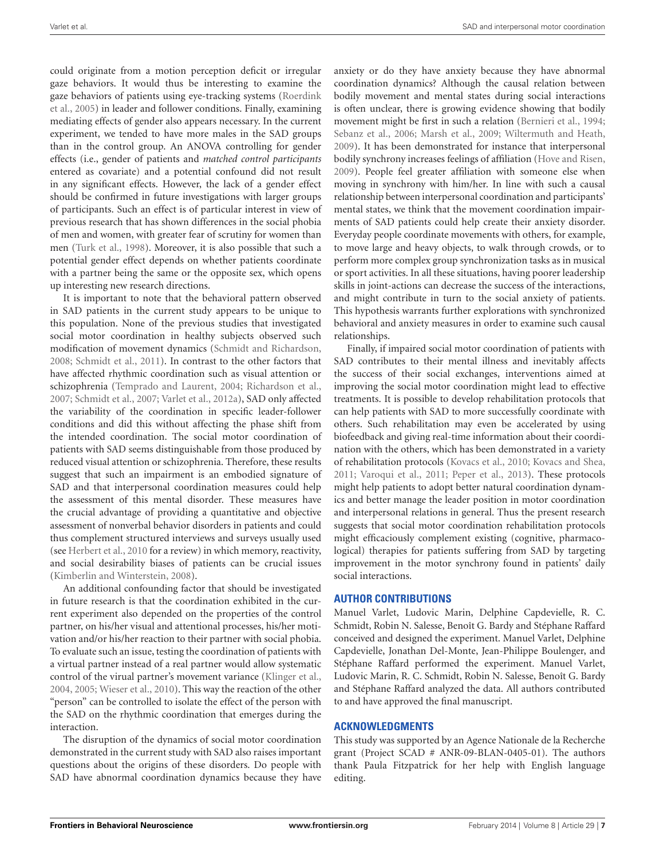could originate from a motion perception deficit or irregular gaze behaviors. It would thus be interesting to examine the gaze behaviors of patients using eye-tracking systems (Roerdink et al., 2005) in leader and follower conditions. Finally, examining mediating effects of gender also appears necessary. In the current experiment, we tended to have more males in the SAD groups than in the control group. An ANOVA controlling for gender effects (i.e., gender of patients and *matched control participants* entered as covariate) and a potential confound did not result in any significant effects. However, the lack of a gender effect should be confirmed in future investigations with larger groups of participants. Such an effect is of particular interest in view of previous research that has shown differences in the social phobia of men and women, with greater fear of scrutiny for women than men (Turk et al., 1998). Moreover, it is also possible that such a potential gender effect depends on whether patients coordinate with a partner being the same or the opposite sex, which opens up interesting new research directions.

It is important to note that the behavioral pattern observed in SAD patients in the current study appears to be unique to this population. None of the previous studies that investigated social motor coordination in healthy subjects observed such modification of movement dynamics (Schmidt and Richardson, 2008; Schmidt et al., 2011). In contrast to the other factors that have affected rhythmic coordination such as visual attention or schizophrenia (Temprado and Laurent, 2004; Richardson et al., 2007; Schmidt et al., 2007; Varlet et al., 2012a), SAD only affected the variability of the coordination in specific leader-follower conditions and did this without affecting the phase shift from the intended coordination. The social motor coordination of patients with SAD seems distinguishable from those produced by reduced visual attention or schizophrenia. Therefore, these results suggest that such an impairment is an embodied signature of SAD and that interpersonal coordination measures could help the assessment of this mental disorder. These measures have the crucial advantage of providing a quantitative and objective assessment of nonverbal behavior disorders in patients and could thus complement structured interviews and surveys usually used (see Herbert et al., 2010 for a review) in which memory, reactivity, and social desirability biases of patients can be crucial issues (Kimberlin and Winterstein, 2008).

An additional confounding factor that should be investigated in future research is that the coordination exhibited in the current experiment also depended on the properties of the control partner, on his/her visual and attentional processes, his/her motivation and/or his/her reaction to their partner with social phobia. To evaluate such an issue, testing the coordination of patients with a virtual partner instead of a real partner would allow systematic control of the virual partner's movement variance (Klinger et al., 2004, 2005; Wieser et al., 2010). This way the reaction of the other "person" can be controlled to isolate the effect of the person with the SAD on the rhythmic coordination that emerges during the interaction.

The disruption of the dynamics of social motor coordination demonstrated in the current study with SAD also raises important questions about the origins of these disorders. Do people with SAD have abnormal coordination dynamics because they have

anxiety or do they have anxiety because they have abnormal coordination dynamics? Although the causal relation between bodily movement and mental states during social interactions is often unclear, there is growing evidence showing that bodily movement might be first in such a relation (Bernieri et al., 1994; Sebanz et al., 2006; Marsh et al., 2009; Wiltermuth and Heath, 2009). It has been demonstrated for instance that interpersonal bodily synchrony increases feelings of affiliation (Hove and Risen, 2009). People feel greater affiliation with someone else when moving in synchrony with him/her. In line with such a causal relationship between interpersonal coordination and participants' mental states, we think that the movement coordination impairments of SAD patients could help create their anxiety disorder. Everyday people coordinate movements with others, for example, to move large and heavy objects, to walk through crowds, or to perform more complex group synchronization tasks as in musical or sport activities. In all these situations, having poorer leadership skills in joint-actions can decrease the success of the interactions, and might contribute in turn to the social anxiety of patients. This hypothesis warrants further explorations with synchronized behavioral and anxiety measures in order to examine such causal relationships.

Finally, if impaired social motor coordination of patients with SAD contributes to their mental illness and inevitably affects the success of their social exchanges, interventions aimed at improving the social motor coordination might lead to effective treatments. It is possible to develop rehabilitation protocols that can help patients with SAD to more successfully coordinate with others. Such rehabilitation may even be accelerated by using biofeedback and giving real-time information about their coordination with the others, which has been demonstrated in a variety of rehabilitation protocols (Kovacs et al., 2010; Kovacs and Shea, 2011; Varoqui et al., 2011; Peper et al., 2013). These protocols might help patients to adopt better natural coordination dynamics and better manage the leader position in motor coordination and interpersonal relations in general. Thus the present research suggests that social motor coordination rehabilitation protocols might efficaciously complement existing (cognitive, pharmacological) therapies for patients suffering from SAD by targeting improvement in the motor synchrony found in patients' daily social interactions.

# **AUTHOR CONTRIBUTIONS**

Manuel Varlet, Ludovic Marin, Delphine Capdevielle, R. C. Schmidt, Robin N. Salesse, Benoît G. Bardy and Stéphane Raffard conceived and designed the experiment. Manuel Varlet, Delphine Capdevielle, Jonathan Del-Monte, Jean-Philippe Boulenger, and Stéphane Raffard performed the experiment. Manuel Varlet, Ludovic Marin, R. C. Schmidt, Robin N. Salesse, Benoît G. Bardy and Stéphane Raffard analyzed the data. All authors contributed to and have approved the final manuscript.

# **ACKNOWLEDGMENTS**

This study was supported by an Agence Nationale de la Recherche grant (Project SCAD # ANR-09-BLAN-0405-01). The authors thank Paula Fitzpatrick for her help with English language editing.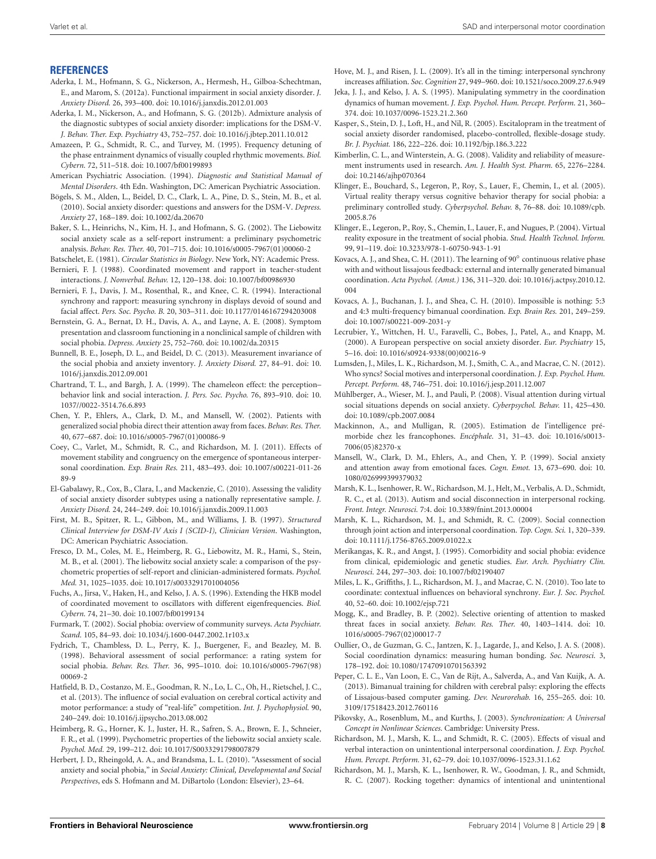#### **REFERENCES**

- Aderka, I. M., Hofmann, S. G., Nickerson, A., Hermesh, H., Gilboa-Schechtman, E., and Marom, S. (2012a). Functional impairment in social anxiety disorder. *J. Anxiety Disord.* 26, 393–400. doi: 10.1016/j.janxdis.2012.01.003
- Aderka, I. M., Nickerson, A., and Hofmann, S. G. (2012b). Admixture analysis of the diagnostic subtypes of social anxiety disorder: implications for the DSM-V. *J. Behav. Ther. Exp. Psychiatry* 43, 752–757. doi: 10.1016/j.jbtep.2011.10.012
- Amazeen, P. G., Schmidt, R. C., and Turvey, M. (1995). Frequency detuning of the phase entrainment dynamics of visually coupled rhythmic movements. *Biol. Cybern.* 72, 511–518. doi: 10.1007/bf00199893
- American Psychiatric Association. (1994). *Diagnostic and Statistical Manual of Mental Disorders*. 4th Edn. Washington, DC: American Psychiatric Association.
- Bögels, S. M., Alden, L., Beidel, D. C., Clark, L. A., Pine, D. S., Stein, M. B., et al. (2010). Social anxiety disorder: questions and answers for the DSM-V. *Depress. Anxiety* 27, 168–189. doi: 10.1002/da.20670
- Baker, S. L., Heinrichs, N., Kim, H. J., and Hofmann, S. G. (2002). The Liebowitz social anxiety scale as a self-report instrument: a preliminary psychometric analysis. *Behav. Res. Ther.* 40, 701–715. doi: 10.1016/s0005-7967(01)00060-2
- Batschelet, E. (1981). *Circular Statistics in Biology*. New York, NY: Academic Press. Bernieri, F. J. (1988). Coordinated movement and rapport in teacher-student
- interactions. *J. Nonverbal. Behav.* 12, 120–138. doi: 10.1007/bf00986930 Bernieri, F. J., Davis, J. M., Rosenthal, R., and Knee, C. R. (1994). Interactional
- synchrony and rapport: measuring synchrony in displays devoid of sound and facial affect. *Pers. Soc. Psycho. B.* 20, 303–311. doi: 10.1177/0146167294203008
- Bernstein, G. A., Bernat, D. H., Davis, A. A., and Layne, A. E. (2008). Symptom presentation and classroom functioning in a nonclinical sample of children with social phobia. *Depress. Anxiety* 25, 752–760. doi: 10.1002/da.20315
- Bunnell, B. E., Joseph, D. L., and Beidel, D. C. (2013). Measurement invariance of the social phobia and anxiety inventory. *J. Anxiety Disord.* 27, 84–91. doi: 10. 1016/j.janxdis.2012.09.001
- Chartrand, T. L., and Bargh, J. A. (1999). The chameleon effect: the perception– behavior link and social interaction. *J. Pers. Soc. Psycho.* 76, 893–910. doi: 10. 1037//0022-3514.76.6.893
- Chen, Y. P., Ehlers, A., Clark, D. M., and Mansell, W. (2002). Patients with generalized social phobia direct their attention away from faces. *Behav. Res. Ther.* 40, 677–687. doi: 10.1016/s0005-7967(01)00086-9
- Coey, C., Varlet, M., Schmidt, R. C., and Richardson, M. J. (2011). Effects of movement stability and congruency on the emergence of spontaneous interpersonal coordination. *Exp. Brain Res.* 211, 483–493. doi: 10.1007/s00221-011-26 89-9
- El-Gabalawy, R., Cox, B., Clara, I., and Mackenzie, C. (2010). Assessing the validity of social anxiety disorder subtypes using a nationally representative sample. *J. Anxiety Disord.* 24, 244–249. doi: 10.1016/j.janxdis.2009.11.003
- First, M. B., Spitzer, R. L., Gibbon, M., and Williams, J. B. (1997). *Structured Clinical Interview for DSM-IV Axis I (SCID-I), Clinician Version*. Washington, DC: American Psychiatric Association.
- Fresco, D. M., Coles, M. E., Heimberg, R. G., Liebowitz, M. R., Hami, S., Stein, M. B., et al. (2001). The liebowitz social anxiety scale: a comparison of the psychometric properties of self-report and clinician-administered formats. *Psychol. Med.* 31, 1025–1035. doi: 10.1017/s0033291701004056
- Fuchs, A., Jirsa, V., Haken, H., and Kelso, J. A. S. (1996). Extending the HKB model of coordinated movement to oscillators with different eigenfrequencies. *Biol. Cybern.* 74, 21–30. doi: 10.1007/bf00199134
- Furmark, T. (2002). Social phobia: overview of community surveys. *Acta Psychiatr. Scand.* 105, 84–93. doi: 10.1034/j.1600-0447.2002.1r103.x
- Fydrich, T., Chambless, D. L., Perry, K. J., Buergener, F., and Beazley, M. B. (1998). Behavioral assessment of social performance: a rating system for social phobia. *Behav. Res. Ther.* 36, 995–1010. doi: 10.1016/s0005-7967(98) 00069-2
- Hatfield, B. D., Costanzo, M. E., Goodman, R. N., Lo, L. C., Oh, H., Rietschel, J. C., et al. (2013). The influence of social evaluation on cerebral cortical activity and motor performance: a study of "real-life" competition. *Int. J. Psychophysiol.* 90, 240–249. doi: 10.1016/j.ijpsycho.2013.08.002
- Heimberg, R. G., Horner, K. J., Juster, H. R., Safren, S. A., Brown, E. J., Schneier, F. R., et al. (1999). Psychometric properties of the liebowitz social anxiety scale. *Psychol. Med.* 29, 199–212. doi: 10.1017/S0033291798007879
- Herbert, J. D., Rheingold, A. A., and Brandsma, L. L. (2010). "Assessment of social anxiety and social phobia," in *Social Anxiety: Clinical, Developmental and Social Perspectives*, eds S. Hofmann and M. DiBartolo (London: Elsevier), 23–64.

Hove, M. J., and Risen, J. L. (2009). It's all in the timing: interpersonal synchrony increases affiliation. *Soc. Cognition* 27, 949–960. doi: 10.1521/soco.2009.27.6.949

- Jeka, J. J., and Kelso, J. A. S. (1995). Manipulating symmetry in the coordination dynamics of human movement. *J. Exp. Psychol. Hum. Percept. Perform.* 21, 360– 374. doi: 10.1037/0096-1523.21.2.360
- Kasper, S., Stein, D. J., Loft, H., and Nil, R. (2005). Escitalopram in the treatment of social anxiety disorder randomised, placebo-controlled, flexible-dosage study. *Br. J. Psychiat.* 186, 222–226. doi: 10.1192/bjp.186.3.222
- Kimberlin, C. L., and Winterstein, A. G. (2008). Validity and reliability of measurement instruments used in research. *Am. J. Health Syst. Pharm.* 65, 2276–2284. doi: 10.2146/ajhp070364
- Klinger, E., Bouchard, S., Legeron, P., Roy, S., Lauer, F., Chemin, I., et al. (2005). Virtual reality therapy versus cognitive behavior therapy for social phobia: a preliminary controlled study. *Cyberpsychol. Behav.* 8, 76–88. doi: 10.1089/cpb. 2005.8.76
- Klinger, E., Legeron, P., Roy, S., Chemin, I., Lauer, F., and Nugues, P. (2004). Virtual reality exposure in the treatment of social phobia. *Stud. Health Technol. Inform.* 99, 91–119. doi: 10.3233/978-1-60750-943-1-91
- Kovacs, A. J., and Shea, C. H. (2011). The learning of 90° continuous relative phase with and without lissajous feedback: external and internally generated bimanual coordination. *Acta Psychol. (Amst.)* 136, 311–320. doi: 10.1016/j.actpsy.2010.12. 004
- Kovacs, A. J., Buchanan, J. J., and Shea, C. H. (2010). Impossible is nothing: 5:3 and 4:3 multi-frequency bimanual coordination. *Exp. Brain Res.* 201, 249–259. doi: 10.1007/s00221-009-2031-y
- Lecrubier, Y., Wittchen, H. U., Faravelli, C., Bobes, J., Patel, A., and Knapp, M. (2000). A European perspective on social anxiety disorder. *Eur. Psychiatry* 15, 5–16. doi: 10.1016/s0924-9338(00)00216-9
- Lumsden, J., Miles, L. K., Richardson, M. J., Smith, C. A., and Macrae, C. N. (2012). Who syncs? Social motives and interpersonal coordination. *J. Exp. Psychol. Hum. Percept. Perform.* 48, 746–751. doi: 10.1016/j.jesp.2011.12.007
- Mühlberger, A., Wieser, M. J., and Pauli, P. (2008). Visual attention during virtual social situations depends on social anxiety. *Cyberpsychol. Behav.* 11, 425–430. doi: 10.1089/cpb.2007.0084
- Mackinnon, A., and Mulligan, R. (2005). Estimation de l'intelligence prémorbide chez les francophones. *Encéphale.* 31, 31–43. doi: 10.1016/s0013- 7006(05)82370-x
- Mansell, W., Clark, D. M., Ehlers, A., and Chen, Y. P. (1999). Social anxiety and attention away from emotional faces. *Cogn. Emot.* 13, 673–690. doi: 10. 1080/026999399379032
- Marsh, K. L., Isenhower, R. W., Richardson, M. J., Helt, M., Verbalis, A. D., Schmidt, R. C., et al. (2013). Autism and social disconnection in interpersonal rocking. *Front. Integr. Neurosci.* 7:4. doi: 10.3389/fnint.2013.00004
- Marsh, K. L., Richardson, M. J., and Schmidt, R. C. (2009). Social connection through joint action and interpersonal coordination. *Top. Cogn. Sci.* 1, 320–339. doi: 10.1111/j.1756-8765.2009.01022.x
- Merikangas, K. R., and Angst, J. (1995). Comorbidity and social phobia: evidence from clinical, epidemiologic and genetic studies. *Eur. Arch. Psychiatry Clin. Neurosci.* 244, 297–303. doi: 10.1007/bf02190407
- Miles, L. K., Griffiths, J. L., Richardson, M. J., and Macrae, C. N. (2010). Too late to coordinate: contextual influences on behavioral synchrony. *Eur. J. Soc. Psychol.* 40, 52–60. doi: 10.1002/ejsp.721
- Mogg, K., and Bradley, B. P. (2002). Selective orienting of attention to masked threat faces in social anxiety. *Behav. Res. Ther.* 40, 1403–1414. doi: 10. 1016/s0005-7967(02)00017-7
- Oullier, O., de Guzman, G. C., Jantzen, K. J., Lagarde, J., and Kelso, J. A. S. (2008). Social coordination dynamics: measuring human bonding. *Soc. Neurosci.* 3, 178–192. doi: 10.1080/17470910701563392
- Peper, C. L. E., Van Loon, E. C., Van de Rijt, A., Salverda, A., and Van Kuijk, A. A. (2013). Bimanual training for children with cerebral palsy: exploring the effects of Lissajous-based computer gaming. *Dev. Neurorehab.* 16, 255–265. doi: 10. 3109/17518423.2012.760116
- Pikovsky, A., Rosenblum, M., and Kurths, J. (2003). *Synchronization: A Universal Concept in Nonlinear Sciences*. Cambridge: University Press.
- Richardson, M. J., Marsh, K. L., and Schmidt, R. C. (2005). Effects of visual and verbal interaction on unintentional interpersonal coordination. *J. Exp. Psychol. Hum. Percept. Perform.* 31, 62–79. doi: 10.1037/0096-1523.31.1.62
- Richardson, M. J., Marsh, K. L., Isenhower, R. W., Goodman, J. R., and Schmidt, R. C. (2007). Rocking together: dynamics of intentional and unintentional